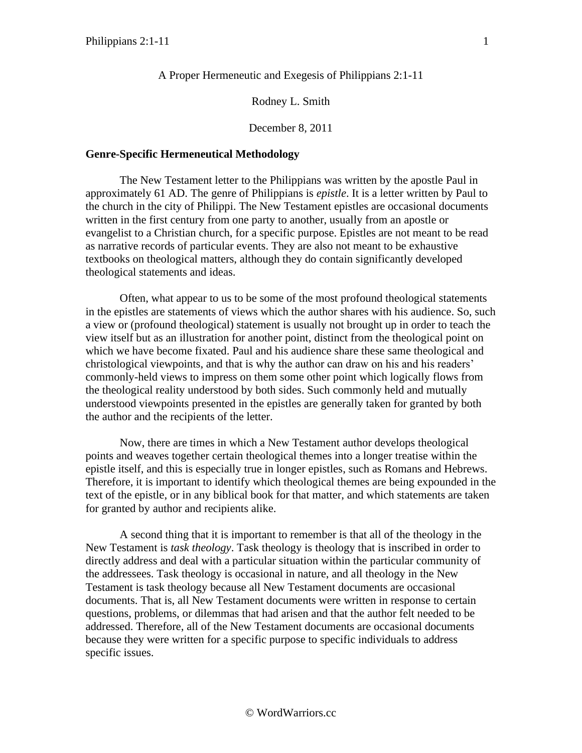# A Proper Hermeneutic and Exegesis of Philippians 2:1-11

## Rodney L. Smith

December 8, 2011

## **Genre-Specific Hermeneutical Methodology**

The New Testament letter to the Philippians was written by the apostle Paul in approximately 61 AD. The genre of Philippians is *epistle*. It is a letter written by Paul to the church in the city of Philippi. The New Testament epistles are occasional documents written in the first century from one party to another, usually from an apostle or evangelist to a Christian church, for a specific purpose. Epistles are not meant to be read as narrative records of particular events. They are also not meant to be exhaustive textbooks on theological matters, although they do contain significantly developed theological statements and ideas.

Often, what appear to us to be some of the most profound theological statements in the epistles are statements of views which the author shares with his audience. So, such a view or (profound theological) statement is usually not brought up in order to teach the view itself but as an illustration for another point, distinct from the theological point on which we have become fixated. Paul and his audience share these same theological and christological viewpoints, and that is why the author can draw on his and his readers' commonly-held views to impress on them some other point which logically flows from the theological reality understood by both sides. Such commonly held and mutually understood viewpoints presented in the epistles are generally taken for granted by both the author and the recipients of the letter.

Now, there are times in which a New Testament author develops theological points and weaves together certain theological themes into a longer treatise within the epistle itself, and this is especially true in longer epistles, such as Romans and Hebrews. Therefore, it is important to identify which theological themes are being expounded in the text of the epistle, or in any biblical book for that matter, and which statements are taken for granted by author and recipients alike.

A second thing that it is important to remember is that all of the theology in the New Testament is *task theology*. Task theology is theology that is inscribed in order to directly address and deal with a particular situation within the particular community of the addressees. Task theology is occasional in nature, and all theology in the New Testament is task theology because all New Testament documents are occasional documents. That is, all New Testament documents were written in response to certain questions, problems, or dilemmas that had arisen and that the author felt needed to be addressed. Therefore, all of the New Testament documents are occasional documents because they were written for a specific purpose to specific individuals to address specific issues.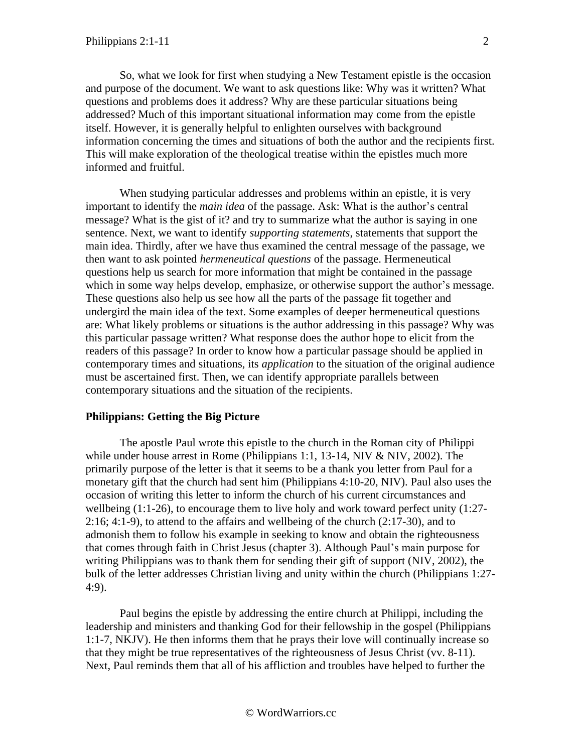So, what we look for first when studying a New Testament epistle is the occasion and purpose of the document. We want to ask questions like: Why was it written? What questions and problems does it address? Why are these particular situations being addressed? Much of this important situational information may come from the epistle itself. However, it is generally helpful to enlighten ourselves with background information concerning the times and situations of both the author and the recipients first. This will make exploration of the theological treatise within the epistles much more informed and fruitful.

When studying particular addresses and problems within an epistle, it is very important to identify the *main idea* of the passage. Ask: What is the author's central message? What is the gist of it? and try to summarize what the author is saying in one sentence. Next, we want to identify *supporting statements*, statements that support the main idea. Thirdly, after we have thus examined the central message of the passage, we then want to ask pointed *hermeneutical questions* of the passage. Hermeneutical questions help us search for more information that might be contained in the passage which in some way helps develop, emphasize, or otherwise support the author's message. These questions also help us see how all the parts of the passage fit together and undergird the main idea of the text. Some examples of deeper hermeneutical questions are: What likely problems or situations is the author addressing in this passage? Why was this particular passage written? What response does the author hope to elicit from the readers of this passage? In order to know how a particular passage should be applied in contemporary times and situations, its *application* to the situation of the original audience must be ascertained first. Then, we can identify appropriate parallels between contemporary situations and the situation of the recipients.

#### **Philippians: Getting the Big Picture**

The apostle Paul wrote this epistle to the church in the Roman city of Philippi while under house arrest in Rome (Philippians 1:1, 13-14, NIV & NIV, 2002). The primarily purpose of the letter is that it seems to be a thank you letter from Paul for a monetary gift that the church had sent him (Philippians 4:10-20, NIV). Paul also uses the occasion of writing this letter to inform the church of his current circumstances and wellbeing  $(1:1-26)$ , to encourage them to live holy and work toward perfect unity  $(1:27-$ 2:16; 4:1-9), to attend to the affairs and wellbeing of the church (2:17-30), and to admonish them to follow his example in seeking to know and obtain the righteousness that comes through faith in Christ Jesus (chapter 3). Although Paul's main purpose for writing Philippians was to thank them for sending their gift of support (NIV, 2002), the bulk of the letter addresses Christian living and unity within the church (Philippians 1:27- 4:9).

Paul begins the epistle by addressing the entire church at Philippi, including the leadership and ministers and thanking God for their fellowship in the gospel (Philippians 1:1-7, NKJV). He then informs them that he prays their love will continually increase so that they might be true representatives of the righteousness of Jesus Christ (vv. 8-11). Next, Paul reminds them that all of his affliction and troubles have helped to further the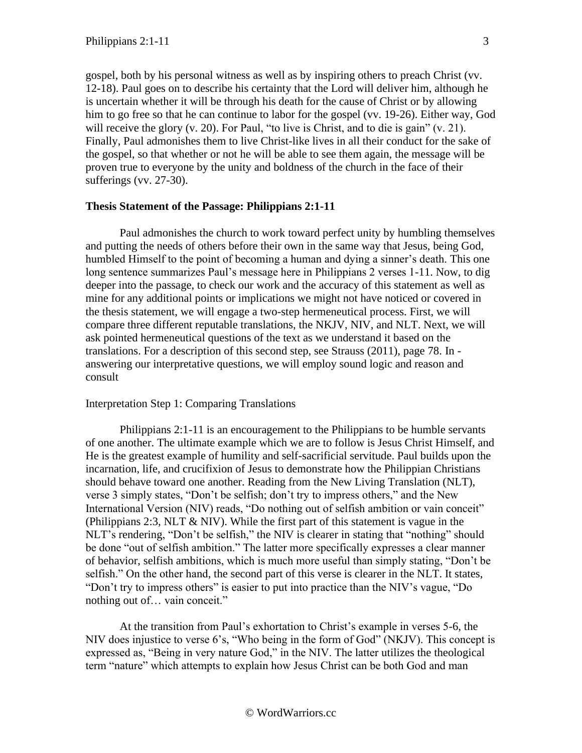gospel, both by his personal witness as well as by inspiring others to preach Christ (vv. 12-18). Paul goes on to describe his certainty that the Lord will deliver him, although he is uncertain whether it will be through his death for the cause of Christ or by allowing him to go free so that he can continue to labor for the gospel (vv. 19-26). Either way, God will receive the glory  $(v, 20)$ . For Paul, "to live is Christ, and to die is gain"  $(v, 21)$ . Finally, Paul admonishes them to live Christ-like lives in all their conduct for the sake of the gospel, so that whether or not he will be able to see them again, the message will be proven true to everyone by the unity and boldness of the church in the face of their sufferings (vv. 27-30).

### **Thesis Statement of the Passage: Philippians 2:1-11**

Paul admonishes the church to work toward perfect unity by humbling themselves and putting the needs of others before their own in the same way that Jesus, being God, humbled Himself to the point of becoming a human and dying a sinner's death. This one long sentence summarizes Paul's message here in Philippians 2 verses 1-11. Now, to dig deeper into the passage, to check our work and the accuracy of this statement as well as mine for any additional points or implications we might not have noticed or covered in the thesis statement, we will engage a two-step hermeneutical process. First, we will compare three different reputable translations, the NKJV, NIV, and NLT. Next, we will ask pointed hermeneutical questions of the text as we understand it based on the translations. For a description of this second step, see Strauss (2011), page 78. In answering our interpretative questions, we will employ sound logic and reason and consult

### Interpretation Step 1: Comparing Translations

Philippians 2:1-11 is an encouragement to the Philippians to be humble servants of one another. The ultimate example which we are to follow is Jesus Christ Himself, and He is the greatest example of humility and self-sacrificial servitude. Paul builds upon the incarnation, life, and crucifixion of Jesus to demonstrate how the Philippian Christians should behave toward one another. Reading from the New Living Translation (NLT), verse 3 simply states, "Don't be selfish; don't try to impress others," and the New International Version (NIV) reads, "Do nothing out of selfish ambition or vain conceit" (Philippians 2:3, NLT & NIV). While the first part of this statement is vague in the NLT's rendering, "Don't be selfish," the NIV is clearer in stating that "nothing" should be done "out of selfish ambition." The latter more specifically expresses a clear manner of behavior, selfish ambitions, which is much more useful than simply stating, "Don't be selfish." On the other hand, the second part of this verse is clearer in the NLT. It states, "Don't try to impress others" is easier to put into practice than the NIV's vague, "Do nothing out of… vain conceit."

At the transition from Paul's exhortation to Christ's example in verses 5-6, the NIV does injustice to verse 6's, "Who being in the form of God" (NKJV). This concept is expressed as, "Being in very nature God," in the NIV. The latter utilizes the theological term "nature" which attempts to explain how Jesus Christ can be both God and man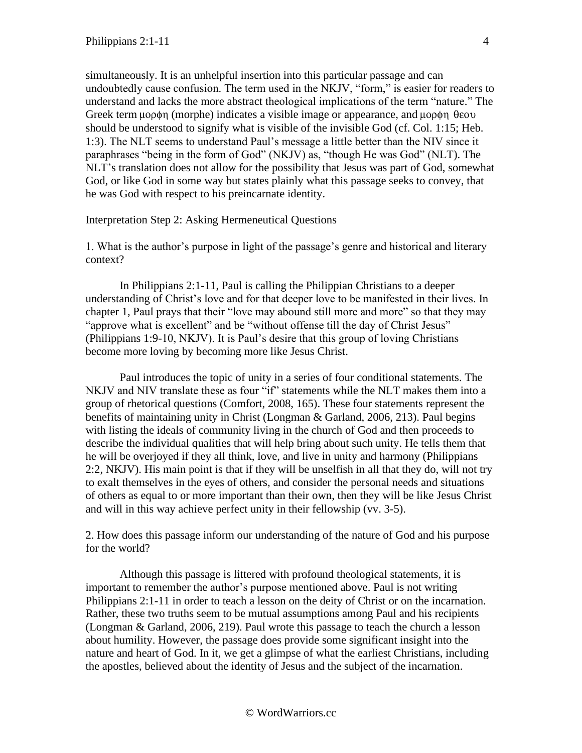simultaneously. It is an unhelpful insertion into this particular passage and can undoubtedly cause confusion. The term used in the NKJV, "form," is easier for readers to understand and lacks the more abstract theological implications of the term "nature." The Greek term  $\mu$ op $\phi$ n (morphe) indicates a visible image or appearance, and  $\mu$ op $\phi$ n  $\theta$ eov should be understood to signify what is visible of the invisible God (cf. Col. 1:15; Heb. 1:3). The NLT seems to understand Paul's message a little better than the NIV since it paraphrases "being in the form of God" (NKJV) as, "though He was God" (NLT). The NLT's translation does not allow for the possibility that Jesus was part of God, somewhat God, or like God in some way but states plainly what this passage seeks to convey, that he was God with respect to his preincarnate identity.

Interpretation Step 2: Asking Hermeneutical Questions

1. What is the author's purpose in light of the passage's genre and historical and literary context?

In Philippians 2:1-11, Paul is calling the Philippian Christians to a deeper understanding of Christ's love and for that deeper love to be manifested in their lives. In chapter 1, Paul prays that their "love may abound still more and more" so that they may "approve what is excellent" and be "without offense till the day of Christ Jesus" (Philippians 1:9-10, NKJV). It is Paul's desire that this group of loving Christians become more loving by becoming more like Jesus Christ.

Paul introduces the topic of unity in a series of four conditional statements. The NKJV and NIV translate these as four "if" statements while the NLT makes them into a group of rhetorical questions (Comfort, 2008, 165). These four statements represent the benefits of maintaining unity in Christ (Longman & Garland, 2006, 213). Paul begins with listing the ideals of community living in the church of God and then proceeds to describe the individual qualities that will help bring about such unity. He tells them that he will be overjoyed if they all think, love, and live in unity and harmony (Philippians 2:2, NKJV). His main point is that if they will be unselfish in all that they do, will not try to exalt themselves in the eyes of others, and consider the personal needs and situations of others as equal to or more important than their own, then they will be like Jesus Christ and will in this way achieve perfect unity in their fellowship (vv. 3-5).

2. How does this passage inform our understanding of the nature of God and his purpose for the world?

Although this passage is littered with profound theological statements, it is important to remember the author's purpose mentioned above. Paul is not writing Philippians 2:1-11 in order to teach a lesson on the deity of Christ or on the incarnation. Rather, these two truths seem to be mutual assumptions among Paul and his recipients (Longman & Garland, 2006, 219). Paul wrote this passage to teach the church a lesson about humility. However, the passage does provide some significant insight into the nature and heart of God. In it, we get a glimpse of what the earliest Christians, including the apostles, believed about the identity of Jesus and the subject of the incarnation.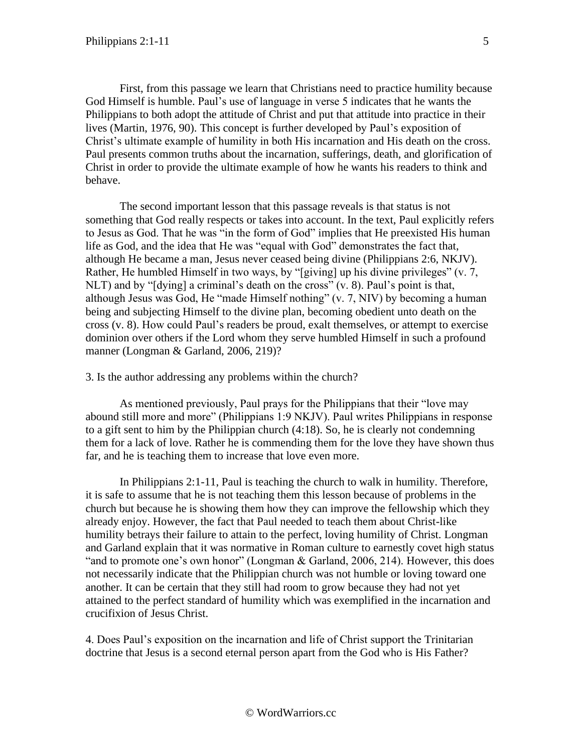First, from this passage we learn that Christians need to practice humility because God Himself is humble. Paul's use of language in verse 5 indicates that he wants the Philippians to both adopt the attitude of Christ and put that attitude into practice in their lives (Martin, 1976, 90). This concept is further developed by Paul's exposition of Christ's ultimate example of humility in both His incarnation and His death on the cross. Paul presents common truths about the incarnation, sufferings, death, and glorification of Christ in order to provide the ultimate example of how he wants his readers to think and behave.

The second important lesson that this passage reveals is that status is not something that God really respects or takes into account. In the text, Paul explicitly refers to Jesus as God. That he was "in the form of God" implies that He preexisted His human life as God, and the idea that He was "equal with God" demonstrates the fact that, although He became a man, Jesus never ceased being divine (Philippians 2:6, NKJV). Rather, He humbled Himself in two ways, by "[giving] up his divine privileges" (v. 7, NLT) and by "[dying] a criminal's death on the cross" (v. 8). Paul's point is that, although Jesus was God, He "made Himself nothing" (v. 7, NIV) by becoming a human being and subjecting Himself to the divine plan, becoming obedient unto death on the cross (v. 8). How could Paul's readers be proud, exalt themselves, or attempt to exercise dominion over others if the Lord whom they serve humbled Himself in such a profound manner (Longman & Garland, 2006, 219)?

3. Is the author addressing any problems within the church?

As mentioned previously, Paul prays for the Philippians that their "love may abound still more and more" (Philippians 1:9 NKJV). Paul writes Philippians in response to a gift sent to him by the Philippian church (4:18). So, he is clearly not condemning them for a lack of love. Rather he is commending them for the love they have shown thus far, and he is teaching them to increase that love even more.

In Philippians 2:1-11, Paul is teaching the church to walk in humility. Therefore, it is safe to assume that he is not teaching them this lesson because of problems in the church but because he is showing them how they can improve the fellowship which they already enjoy. However, the fact that Paul needed to teach them about Christ-like humility betrays their failure to attain to the perfect, loving humility of Christ. Longman and Garland explain that it was normative in Roman culture to earnestly covet high status "and to promote one's own honor" (Longman & Garland, 2006, 214). However, this does not necessarily indicate that the Philippian church was not humble or loving toward one another. It can be certain that they still had room to grow because they had not yet attained to the perfect standard of humility which was exemplified in the incarnation and crucifixion of Jesus Christ.

4. Does Paul's exposition on the incarnation and life of Christ support the Trinitarian doctrine that Jesus is a second eternal person apart from the God who is His Father?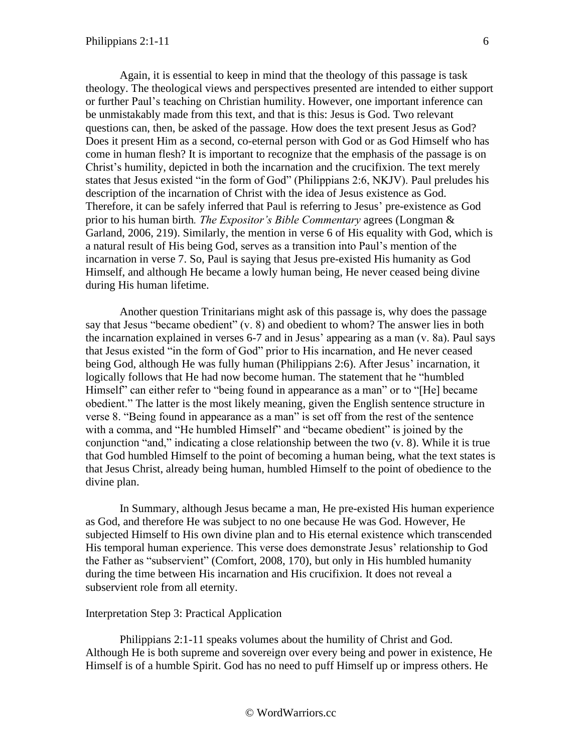Again, it is essential to keep in mind that the theology of this passage is task theology. The theological views and perspectives presented are intended to either support or further Paul's teaching on Christian humility. However, one important inference can be unmistakably made from this text, and that is this: Jesus is God. Two relevant questions can, then, be asked of the passage. How does the text present Jesus as God? Does it present Him as a second, co-eternal person with God or as God Himself who has come in human flesh? It is important to recognize that the emphasis of the passage is on Christ's humility, depicted in both the incarnation and the crucifixion. The text merely states that Jesus existed "in the form of God" (Philippians 2:6, NKJV). Paul preludes his description of the incarnation of Christ with the idea of Jesus existence as God. Therefore, it can be safely inferred that Paul is referring to Jesus' pre-existence as God prior to his human birth*. The Expositor's Bible Commentary* agrees (Longman & Garland, 2006, 219). Similarly, the mention in verse 6 of His equality with God, which is a natural result of His being God, serves as a transition into Paul's mention of the incarnation in verse 7. So, Paul is saying that Jesus pre-existed His humanity as God Himself, and although He became a lowly human being, He never ceased being divine during His human lifetime.

Another question Trinitarians might ask of this passage is, why does the passage say that Jesus "became obedient" (v. 8) and obedient to whom? The answer lies in both the incarnation explained in verses 6-7 and in Jesus' appearing as a man (v. 8a). Paul says that Jesus existed "in the form of God" prior to His incarnation, and He never ceased being God, although He was fully human (Philippians 2:6). After Jesus' incarnation, it logically follows that He had now become human. The statement that he "humbled Himself" can either refer to "being found in appearance as a man" or to "[He] became obedient." The latter is the most likely meaning, given the English sentence structure in verse 8. "Being found in appearance as a man" is set off from the rest of the sentence with a comma, and "He humbled Himself" and "became obedient" is joined by the conjunction "and," indicating a close relationship between the two (v. 8). While it is true that God humbled Himself to the point of becoming a human being, what the text states is that Jesus Christ, already being human, humbled Himself to the point of obedience to the divine plan.

In Summary, although Jesus became a man, He pre-existed His human experience as God, and therefore He was subject to no one because He was God. However, He subjected Himself to His own divine plan and to His eternal existence which transcended His temporal human experience. This verse does demonstrate Jesus' relationship to God the Father as "subservient" (Comfort, 2008, 170), but only in His humbled humanity during the time between His incarnation and His crucifixion. It does not reveal a subservient role from all eternity.

### Interpretation Step 3: Practical Application

Philippians 2:1-11 speaks volumes about the humility of Christ and God. Although He is both supreme and sovereign over every being and power in existence, He Himself is of a humble Spirit. God has no need to puff Himself up or impress others. He